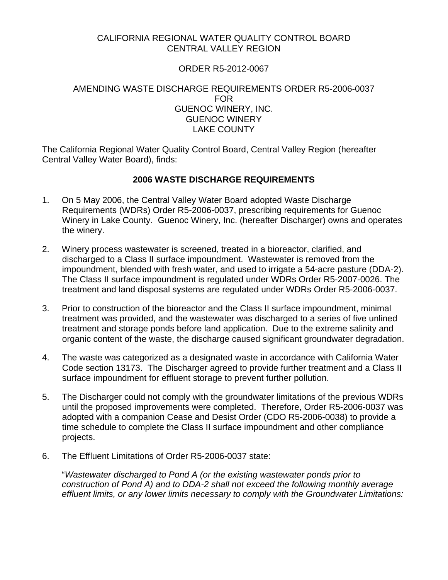## CALIFORNIA REGIONAL WATER QUALITY CONTROL BOARD CENTRAL VALLEY REGION

## ORDER R5-2012-0067

#### AMENDING WASTE DISCHARGE REQUIREMENTS ORDER R5-2006-0037 FOR GUENOC WINERY, INC. GUENOC WINERY LAKE COUNTY

The California Regional Water Quality Control Board, Central Valley Region (hereafter Central Valley Water Board), finds:

### **2006 WASTE DISCHARGE REQUIREMENTS**

- 1. On 5 May 2006, the Central Valley Water Board adopted Waste Discharge Requirements (WDRs) Order R5-2006-0037, prescribing requirements for Guenoc Winery in Lake County. Guenoc Winery, Inc. (hereafter Discharger) owns and operates the winery.
- 2. Winery process wastewater is screened, treated in a bioreactor, clarified, and discharged to a Class II surface impoundment. Wastewater is removed from the impoundment, blended with fresh water, and used to irrigate a 54-acre pasture (DDA-2). The Class II surface impoundment is regulated under WDRs Order R5-2007-0026. The treatment and land disposal systems are regulated under WDRs Order R5-2006-0037.
- 3. Prior to construction of the bioreactor and the Class II surface impoundment, minimal treatment was provided, and the wastewater was discharged to a series of five unlined treatment and storage ponds before land application. Due to the extreme salinity and organic content of the waste, the discharge caused significant groundwater degradation.
- 4. The waste was categorized as a designated waste in accordance with California Water Code section 13173. The Discharger agreed to provide further treatment and a Class II surface impoundment for effluent storage to prevent further pollution.
- 5. The Discharger could not comply with the groundwater limitations of the previous WDRs until the proposed improvements were completed. Therefore, Order R5-2006-0037 was adopted with a companion Cease and Desist Order (CDO R5-2006-0038) to provide a time schedule to complete the Class II surface impoundment and other compliance projects.
- 6. The Effluent Limitations of Order R5-2006-0037 state:

"*Wastewater discharged to Pond A (or the existing wastewater ponds prior to construction of Pond A) and to DDA-2 shall not exceed the following monthly average effluent limits, or any lower limits necessary to comply with the Groundwater Limitations:*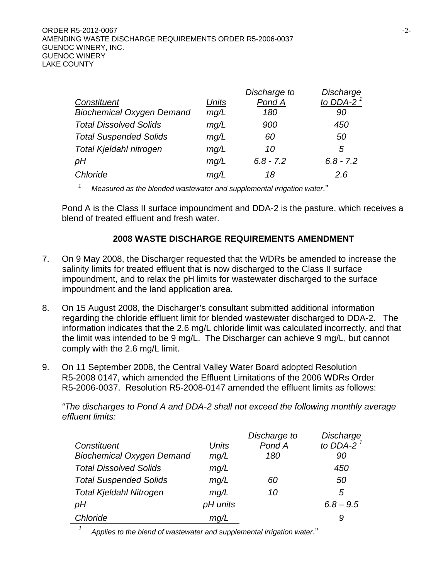|                                  |       | Discharge to | Discharge    |
|----------------------------------|-------|--------------|--------------|
| Constituent                      | Units | Pond A       | to DDA-2 $1$ |
| <b>Biochemical Oxygen Demand</b> | mg/L  | 180          | 90           |
| <b>Total Dissolved Solids</b>    | mg/L  | 900          | 450          |
| <b>Total Suspended Solids</b>    | mg/L  | 60           | 50           |
| Total Kjeldahl nitrogen          | mg/L  | 10           | 5            |
| рH                               | mg/L  | $6.8 - 7.2$  | $6.8 - 7.2$  |
| Chloride                         | mq/L  | 18           | 2.6          |

*1 Measured as the blended wastewater and supplemental irrigation water*."

Pond A is the Class II surface impoundment and DDA-2 is the pasture, which receives a blend of treated effluent and fresh water.

## **2008 WASTE DISCHARGE REQUIREMENTS AMENDMENT**

- 7. On 9 May 2008, the Discharger requested that the WDRs be amended to increase the salinity limits for treated effluent that is now discharged to the Class II surface impoundment, and to relax the pH limits for wastewater discharged to the surface impoundment and the land application area.
- 8. On 15 August 2008, the Discharger's consultant submitted additional information regarding the chloride effluent limit for blended wastewater discharged to DDA-2. The information indicates that the 2.6 mg/L chloride limit was calculated incorrectly, and that the limit was intended to be 9 mg/L. The Discharger can achieve 9 mg/L, but cannot comply with the 2.6 mg/L limit.
- 9. On 11 September 2008, the Central Valley Water Board adopted Resolution R5-2008 0147, which amended the Effluent Limitations of the 2006 WDRs Order R5-2006-0037. Resolution R5-2008-0147 amended the effluent limits as follows:

*"The discharges to Pond A and DDA-2 shall not exceed the following monthly average effluent limits:* 

|                                  |          | Discharge to | Discharge    |
|----------------------------------|----------|--------------|--------------|
| Constituent                      | Units    | Pond A       | to DDA-2 $1$ |
| <b>Biochemical Oxygen Demand</b> | mg/L     | 180          | 90           |
| <b>Total Dissolved Solids</b>    | mg/L     |              | 450          |
| <b>Total Suspended Solids</b>    | mg/L     | 60           | 50           |
| <b>Total Kjeldahl Nitrogen</b>   | mg/L     | 10           | 5            |
| рH                               | pH units |              | $6.8 - 9.5$  |
| Chloride                         | mq/L     |              | 9            |
|                                  |          |              |              |

*<sup>1</sup> Applies to the blend of wastewater and supplemental irrigation water*."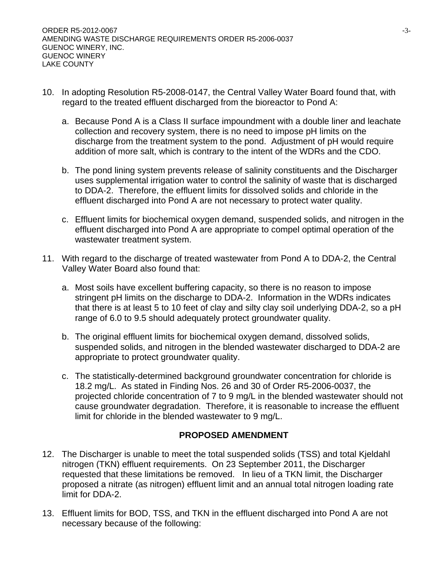- 10. In adopting Resolution R5-2008-0147, the Central Valley Water Board found that, with regard to the treated effluent discharged from the bioreactor to Pond A:
	- a. Because Pond A is a Class II surface impoundment with a double liner and leachate collection and recovery system, there is no need to impose pH limits on the discharge from the treatment system to the pond. Adjustment of pH would require addition of more salt, which is contrary to the intent of the WDRs and the CDO.
	- b. The pond lining system prevents release of salinity constituents and the Discharger uses supplemental irrigation water to control the salinity of waste that is discharged to DDA-2. Therefore, the effluent limits for dissolved solids and chloride in the effluent discharged into Pond A are not necessary to protect water quality.
	- c. Effluent limits for biochemical oxygen demand, suspended solids, and nitrogen in the effluent discharged into Pond A are appropriate to compel optimal operation of the wastewater treatment system.
- 11. With regard to the discharge of treated wastewater from Pond A to DDA-2, the Central Valley Water Board also found that:
	- a. Most soils have excellent buffering capacity, so there is no reason to impose stringent pH limits on the discharge to DDA-2. Information in the WDRs indicates that there is at least 5 to 10 feet of clay and silty clay soil underlying DDA-2, so a pH range of 6.0 to 9.5 should adequately protect groundwater quality.
	- b. The original effluent limits for biochemical oxygen demand, dissolved solids, suspended solids, and nitrogen in the blended wastewater discharged to DDA-2 are appropriate to protect groundwater quality.
	- c. The statistically-determined background groundwater concentration for chloride is 18.2 mg/L. As stated in Finding Nos. 26 and 30 of Order R5-2006-0037, the projected chloride concentration of 7 to 9 mg/L in the blended wastewater should not cause groundwater degradation. Therefore, it is reasonable to increase the effluent limit for chloride in the blended wastewater to 9 mg/L.

# **PROPOSED AMENDMENT**

- 12. The Discharger is unable to meet the total suspended solids (TSS) and total Kjeldahl nitrogen (TKN) effluent requirements. On 23 September 2011, the Discharger requested that these limitations be removed. In lieu of a TKN limit, the Discharger proposed a nitrate (as nitrogen) effluent limit and an annual total nitrogen loading rate limit for DDA-2.
- 13. Effluent limits for BOD, TSS, and TKN in the effluent discharged into Pond A are not necessary because of the following: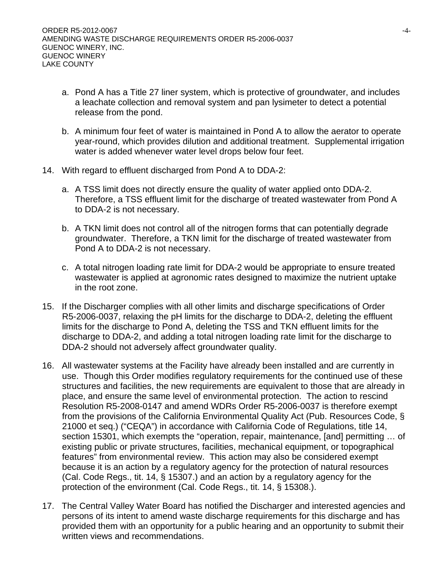- a. Pond A has a Title 27 liner system, which is protective of groundwater, and includes a leachate collection and removal system and pan lysimeter to detect a potential release from the pond.
- b. A minimum four feet of water is maintained in Pond A to allow the aerator to operate year-round, which provides dilution and additional treatment. Supplemental irrigation water is added whenever water level drops below four feet.
- 14. With regard to effluent discharged from Pond A to DDA-2:
	- a. A TSS limit does not directly ensure the quality of water applied onto DDA-2. Therefore, a TSS effluent limit for the discharge of treated wastewater from Pond A to DDA-2 is not necessary.
	- b. A TKN limit does not control all of the nitrogen forms that can potentially degrade groundwater. Therefore, a TKN limit for the discharge of treated wastewater from Pond A to DDA-2 is not necessary.
	- c. A total nitrogen loading rate limit for DDA-2 would be appropriate to ensure treated wastewater is applied at agronomic rates designed to maximize the nutrient uptake in the root zone.
- 15. If the Discharger complies with all other limits and discharge specifications of Order R5-2006-0037, relaxing the pH limits for the discharge to DDA-2, deleting the effluent limits for the discharge to Pond A, deleting the TSS and TKN effluent limits for the discharge to DDA-2, and adding a total nitrogen loading rate limit for the discharge to DDA-2 should not adversely affect groundwater quality.
- 16. All wastewater systems at the Facility have already been installed and are currently in use. Though this Order modifies regulatory requirements for the continued use of these structures and facilities, the new requirements are equivalent to those that are already in place, and ensure the same level of environmental protection. The action to rescind Resolution R5-2008-0147 and amend WDRs Order R5-2006-0037 is therefore exempt from the provisions of the California Environmental Quality Act (Pub. Resources Code, § 21000 et seq.) ("CEQA") in accordance with California Code of Regulations, title 14, section 15301, which exempts the "operation, repair, maintenance, [and] permitting ... of existing public or private structures, facilities, mechanical equipment, or topographical features" from environmental review. This action may also be considered exempt because it is an action by a regulatory agency for the protection of natural resources (Cal. Code Regs., tit. 14, § 15307.) and an action by a regulatory agency for the protection of the environment (Cal. Code Regs., tit. 14, § 15308.).
- 17. The Central Valley Water Board has notified the Discharger and interested agencies and persons of its intent to amend waste discharge requirements for this discharge and has provided them with an opportunity for a public hearing and an opportunity to submit their written views and recommendations.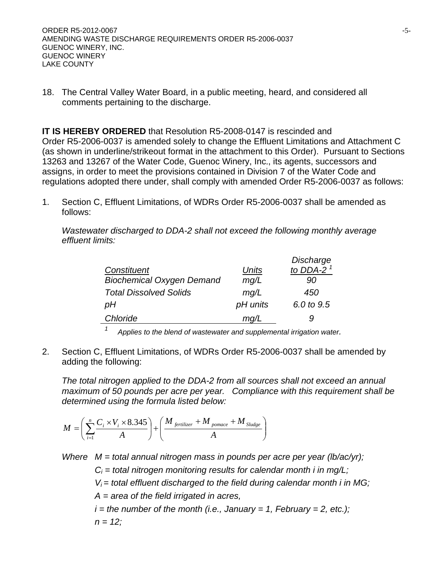18. The Central Valley Water Board, in a public meeting, heard, and considered all comments pertaining to the discharge.

**IT IS HEREBY ORDERED** that Resolution R5-2008-0147 is rescinded and Order R5-2006-0037 is amended solely to change the Effluent Limitations and Attachment C (as shown in underline/strikeout format in the attachment to this Order). Pursuant to Sections 13263 and 13267 of the Water Code, Guenoc Winery, Inc., its agents, successors and assigns, in order to meet the provisions contained in Division 7 of the Water Code and regulations adopted there under, shall comply with amended Order R5-2006-0037 as follows:

1. Section C, Effluent Limitations, of WDRs Order R5-2006-0037 shall be amended as follows:

*Wastewater discharged to DDA-2 shall not exceed the following monthly average effluent limits:* 

|                                  |          | Discharge    |
|----------------------------------|----------|--------------|
| Constituent                      | Units    | to DDA-2 $1$ |
| <b>Biochemical Oxygen Demand</b> | mg/L     | 90           |
| <b>Total Dissolved Solids</b>    | mq/L     | 450          |
| рH                               | pH units | 6.0 to 9.5   |
| Chloride                         | mq/L     | g            |
|                                  |          |              |

*1 Applies to the blend of wastewater and supplemental irrigation water.* 

2. Section C, Effluent Limitations, of WDRs Order R5-2006-0037 shall be amended by adding the following:

*The total nitrogen applied to the DDA-2 from all sources shall not exceed an annual maximum of 50 pounds per acre per year. Compliance with this requirement shall be determined using the formula listed below:* 

$$
M = \left(\sum_{i=1}^{n} \frac{C_i \times V_i \times 8.345}{A}\right) + \left(\frac{M_{ferilizer} + M_{pomace} + M_{Sludge}}{A}\right)
$$

*Where M = total annual nitrogen mass in pounds per acre per year (lb/ac/yr);* 

 $C_i$  = total nitrogen monitoring results for calendar month *i* in mg/L;

 *Vi = total effluent discharged to the field during calendar month i in MG;* 

 *A = area of the field irrigated in acres,* 

 $i =$  the number of the month (i.e., January = 1, February = 2, etc.);  $n = 12$ ;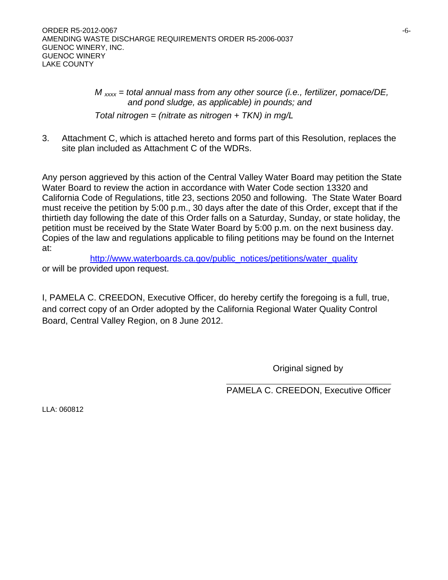*M xxxx = total annual mass from any other source (i.e., fertilizer, pomace/DE, and pond sludge, as applicable) in pounds; and Total nitrogen = (nitrate as nitrogen + TKN) in mg/L* 

3. Attachment C, which is attached hereto and forms part of this Resolution, replaces the site plan included as Attachment C of the WDRs.

Any person aggrieved by this action of the Central Valley Water Board may petition the State Water Board to review the action in accordance with Water Code section 13320 and California Code of Regulations, title 23, sections 2050 and following. The State Water Board must receive the petition by 5:00 p.m., 30 days after the date of this Order, except that if the thirtieth day following the date of this Order falls on a Saturday, Sunday, or state holiday, the petition must be received by the State Water Board by 5:00 p.m. on the next business day. Copies of the law and regulations applicable to filing petitions may be found on the Internet at:

http://www.waterboards.ca.gov/public\_notices/petitions/water\_quality or will be provided upon request.

I, PAMELA C. CREEDON, Executive Officer, do hereby certify the foregoing is a full, true, and correct copy of an Order adopted by the California Regional Water Quality Control Board, Central Valley Region, on 8 June 2012.

Original signed by

PAMELA C. CREEDON, Executive Officer

LLA: 060812